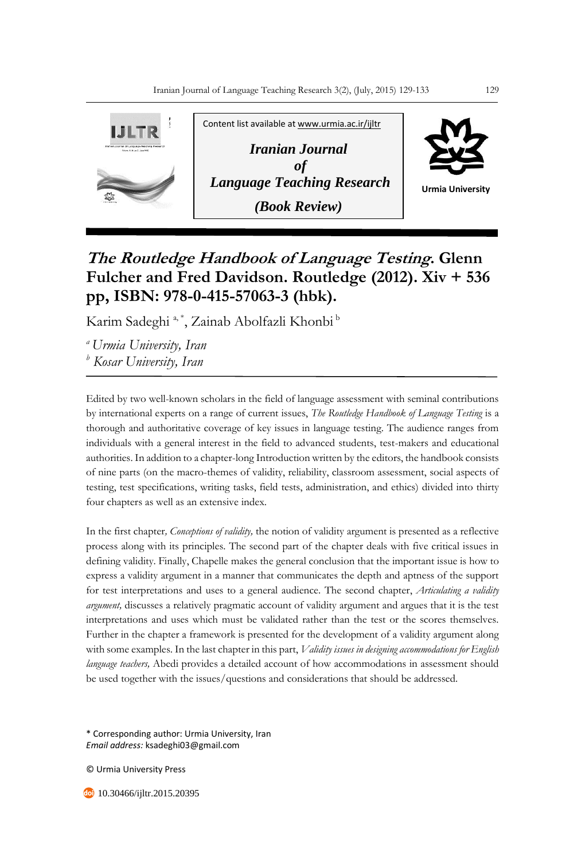

## **The Routledge Handbook of Language Testing. Glenn Fulcher and Fred Davidson. Routledge (2012). Xiv + 536 pp, ISBN: 978-0-415-57063-3 (hbk).**

Karim Sadeghi <sup>a, \*</sup>, Zainab Abolfazli Khonbi <sup>b</sup>

*<sup>a</sup>Urmia University, Iran*

*<sup>b</sup> Kosar University, Iran*

Edited by two well-known scholars in the field of language assessment with seminal contributions by international experts on a range of current issues, *The Routledge Handbook of Language Testing* is a thorough and authoritative coverage of key issues in language testing. The audience ranges from individuals with a general interest in the field to advanced students, test-makers and educational authorities. In addition to a chapter-long Introduction written by the editors, the handbook consists of nine parts (on the macro-themes of validity, reliability, classroom assessment, social aspects of testing, test specifications, writing tasks, field tests, administration, and ethics) divided into thirty four chapters as well as an extensive index.

In the first chapter*, Conceptions of validity,* the notion of validity argument is presented as a reflective process along with its principles. The second part of the chapter deals with five critical issues in defining validity. Finally, Chapelle makes the general conclusion that the important issue is how to express a validity argument in a manner that communicates the depth and aptness of the support for test interpretations and uses to a general audience. The second chapter, *Articulating a validity argument,* discusses a relatively pragmatic account of validity argument and argues that it is the test interpretations and uses which must be validated rather than the test or the scores themselves. Further in the chapter a framework is presented for the development of a validity argument along with some examples. In the last chapter in this part, *Validity issues in designing accommodations for English language teachers,* Abedi provides a detailed account of how accommodations in assessment should be used together with the issues/questions and considerations that should be addressed.

\* Corresponding author: Urmia University, Iran *Email address:* ksadeghi03@gmail.com

© Urmia University Press

10.30466/ijltr.2015.20395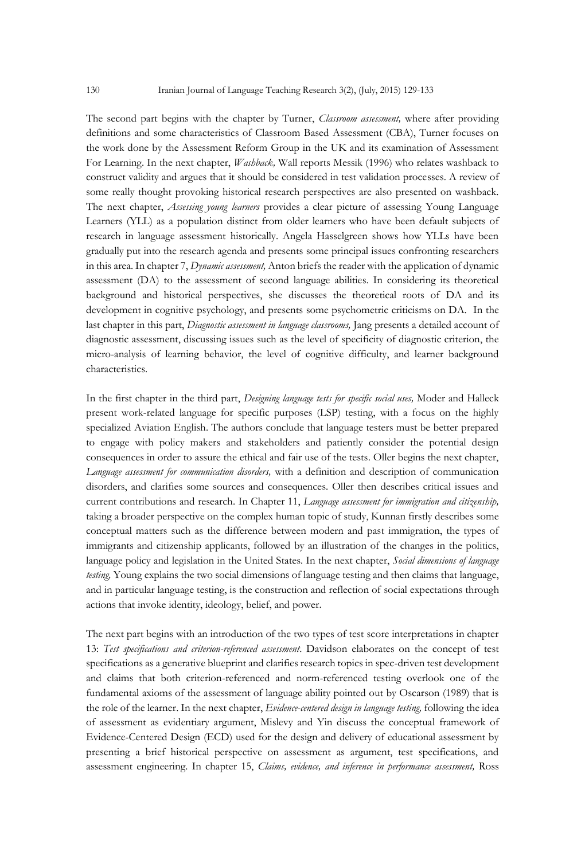The second part begins with the chapter by Turner, *Classroom assessment,* where after providing definitions and some characteristics of Classroom Based Assessment (CBA), Turner focuses on the work done by the Assessment Reform Group in the UK and its examination of Assessment For Learning. In the next chapter, *Washback,* Wall reports Messik (1996) who relates washback to construct validity and argues that it should be considered in test validation processes. A review of some really thought provoking historical research perspectives are also presented on washback. The next chapter, *Assessing young learners* provides a clear picture of assessing Young Language Learners (YLL) as a population distinct from older learners who have been default subjects of research in language assessment historically. Angela Hasselgreen shows how YLLs have been gradually put into the research agenda and presents some principal issues confronting researchers in this area. In chapter 7, *Dynamic assessment,* Anton briefs the reader with the application of dynamic assessment (DA) to the assessment of second language abilities. In considering its theoretical background and historical perspectives, she discusses the theoretical roots of DA and its development in cognitive psychology, and presents some psychometric criticisms on DA. In the last chapter in this part, *Diagnostic assessment in language classrooms,* Jang presents a detailed account of diagnostic assessment, discussing issues such as the level of specificity of diagnostic criterion, the micro-analysis of learning behavior, the level of cognitive difficulty, and learner background characteristics.

In the first chapter in the third part, *Designing language tests for specific social uses,* Moder and Halleck present work-related language for specific purposes (LSP) testing, with a focus on the highly specialized Aviation English. The authors conclude that language testers must be better prepared to engage with policy makers and stakeholders and patiently consider the potential design consequences in order to assure the ethical and fair use of the tests. Oller begins the next chapter, *Language assessment for communication disorders,* with a definition and description of communication disorders, and clarifies some sources and consequences. Oller then describes critical issues and current contributions and research. In Chapter 11, *Language assessment for immigration and citizenship,*  taking a broader perspective on the complex human topic of study, Kunnan firstly describes some conceptual matters such as the difference between modern and past immigration, the types of immigrants and citizenship applicants, followed by an illustration of the changes in the politics, language policy and legislation in the United States. In the next chapter, *Social dimensions of language testing,* Young explains the two social dimensions of language testing and then claims that language, and in particular language testing, is the construction and reflection of social expectations through actions that invoke identity, ideology, belief, and power.

The next part begins with an introduction of the two types of test score interpretations in chapter 13: *Test specifications and criterion-referenced assessment*. Davidson elaborates on the concept of test specifications as a generative blueprint and clarifies research topics in spec-driven test development and claims that both criterion-referenced and norm-referenced testing overlook one of the fundamental axioms of the assessment of language ability pointed out by Oscarson (1989) that is the role of the learner. In the next chapter, *Evidence-centered design in language testing,* following the idea of assessment as evidentiary argument, Mislevy and Yin discuss the conceptual framework of Evidence-Centered Design (ECD) used for the design and delivery of educational assessment by presenting a brief historical perspective on assessment as argument, test specifications, and assessment engineering. In chapter 15, *Claims, evidence, and inference in performance assessment,* Ross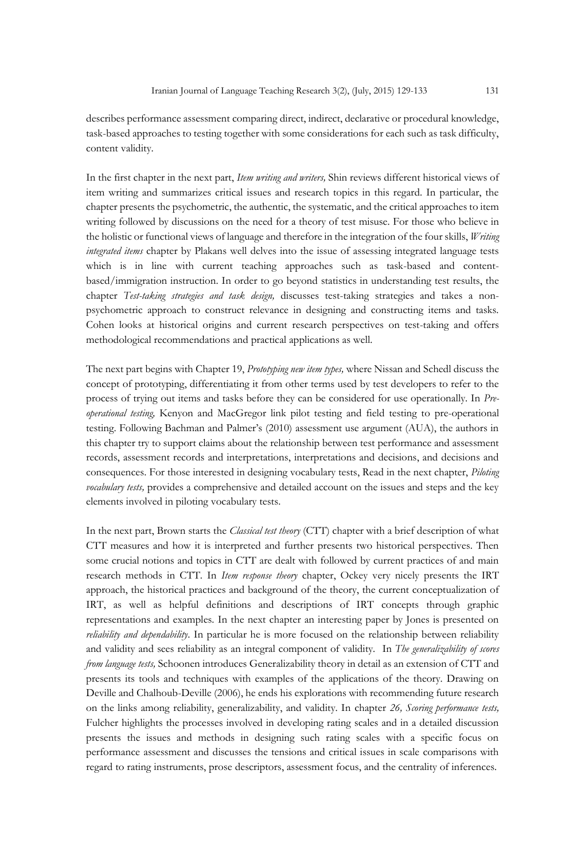describes performance assessment comparing direct, indirect, declarative or procedural knowledge, task-based approaches to testing together with some considerations for each such as task difficulty, content validity.

In the first chapter in the next part, *Item writing and writers,* Shin reviews different historical views of item writing and summarizes critical issues and research topics in this regard. In particular, the chapter presents the psychometric, the authentic, the systematic, and the critical approaches to item writing followed by discussions on the need for a theory of test misuse. For those who believe in the holistic or functional views of language and therefore in the integration of the four skills, *Writing integrated items* chapter by Plakans well delves into the issue of assessing integrated language tests which is in line with current teaching approaches such as task-based and contentbased/immigration instruction. In order to go beyond statistics in understanding test results, the chapter *Test-taking strategies and task design,* discusses test-taking strategies and takes a nonpsychometric approach to construct relevance in designing and constructing items and tasks. Cohen looks at historical origins and current research perspectives on test-taking and offers methodological recommendations and practical applications as well.

The next part begins with Chapter 19, *Prototyping new item types,* where Nissan and Schedl discuss the concept of prototyping, differentiating it from other terms used by test developers to refer to the process of trying out items and tasks before they can be considered for use operationally. In *Preoperational testing,* Kenyon and MacGregor link pilot testing and field testing to pre-operational testing. Following Bachman and Palmer's (2010) assessment use argument (AUA), the authors in this chapter try to support claims about the relationship between test performance and assessment records, assessment records and interpretations, interpretations and decisions, and decisions and consequences. For those interested in designing vocabulary tests, Read in the next chapter, *Piloting vocabulary tests,* provides a comprehensive and detailed account on the issues and steps and the key elements involved in piloting vocabulary tests.

In the next part, Brown starts the *Classical test theory* (CTT) chapter with a brief description of what CTT measures and how it is interpreted and further presents two historical perspectives. Then some crucial notions and topics in CTT are dealt with followed by current practices of and main research methods in CTT. In *Item response theory* chapter, Ockey very nicely presents the IRT approach, the historical practices and background of the theory, the current conceptualization of IRT, as well as helpful definitions and descriptions of IRT concepts through graphic representations and examples. In the next chapter an interesting paper by Jones is presented on *reliability and dependability*. In particular he is more focused on the relationship between reliability and validity and sees reliability as an integral component of validity. In *The generalizability of scores from language tests,* Schoonen introduces Generalizability theory in detail as an extension of CTT and presents its tools and techniques with examples of the applications of the theory. Drawing on Deville and Chalhoub-Deville (2006), he ends his explorations with recommending future research on the links among reliability, generalizability, and validity. In chapter *26, Scoring performance tests,* Fulcher highlights the processes involved in developing rating scales and in a detailed discussion presents the issues and methods in designing such rating scales with a specific focus on performance assessment and discusses the tensions and critical issues in scale comparisons with regard to rating instruments, prose descriptors, assessment focus, and the centrality of inferences.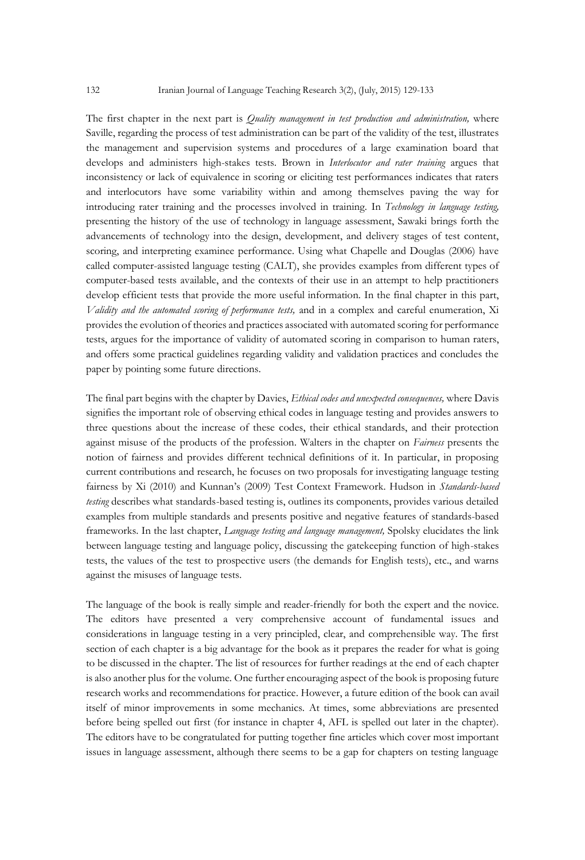The first chapter in the next part is *Quality management in test production and administration,* where Saville, regarding the process of test administration can be part of the validity of the test, illustrates the management and supervision systems and procedures of a large examination board that develops and administers high-stakes tests. Brown in *Interlocutor and rater training* argues that inconsistency or lack of equivalence in scoring or eliciting test performances indicates that raters and interlocutors have some variability within and among themselves paving the way for introducing rater training and the processes involved in training. In *Technology in language testing,*  presenting the history of the use of technology in language assessment, Sawaki brings forth the advancements of technology into the design, development, and delivery stages of test content, scoring, and interpreting examinee performance. Using what Chapelle and Douglas (2006) have called computer-assisted language testing (CALT), she provides examples from different types of computer-based tests available, and the contexts of their use in an attempt to help practitioners develop efficient tests that provide the more useful information. In the final chapter in this part, *Validity and the automated scoring of performance tests,* and in a complex and careful enumeration, Xi provides the evolution of theories and practices associated with automated scoring for performance tests, argues for the importance of validity of automated scoring in comparison to human raters, and offers some practical guidelines regarding validity and validation practices and concludes the paper by pointing some future directions.

The final part begins with the chapter by Davies, *Ethical codes and unexpected consequences,* where Davis signifies the important role of observing ethical codes in language testing and provides answers to three questions about the increase of these codes, their ethical standards, and their protection against misuse of the products of the profession. Walters in the chapter on *Fairness* presents the notion of fairness and provides different technical definitions of it. In particular, in proposing current contributions and research, he focuses on two proposals for investigating language testing fairness by Xi (2010) and Kunnan's (2009) Test Context Framework. Hudson in *Standards-based testing* describes what standards-based testing is, outlines its components, provides various detailed examples from multiple standards and presents positive and negative features of standards-based frameworks. In the last chapter, *Language testing and language management,* Spolsky elucidates the link between language testing and language policy, discussing the gatekeeping function of high-stakes tests, the values of the test to prospective users (the demands for English tests), etc., and warns against the misuses of language tests.

The language of the book is really simple and reader-friendly for both the expert and the novice. The editors have presented a very comprehensive account of fundamental issues and considerations in language testing in a very principled, clear, and comprehensible way. The first section of each chapter is a big advantage for the book as it prepares the reader for what is going to be discussed in the chapter. The list of resources for further readings at the end of each chapter is also another plus for the volume. One further encouraging aspect of the book is proposing future research works and recommendations for practice. However, a future edition of the book can avail itself of minor improvements in some mechanics. At times, some abbreviations are presented before being spelled out first (for instance in chapter 4, AFL is spelled out later in the chapter). The editors have to be congratulated for putting together fine articles which cover most important issues in language assessment, although there seems to be a gap for chapters on testing language